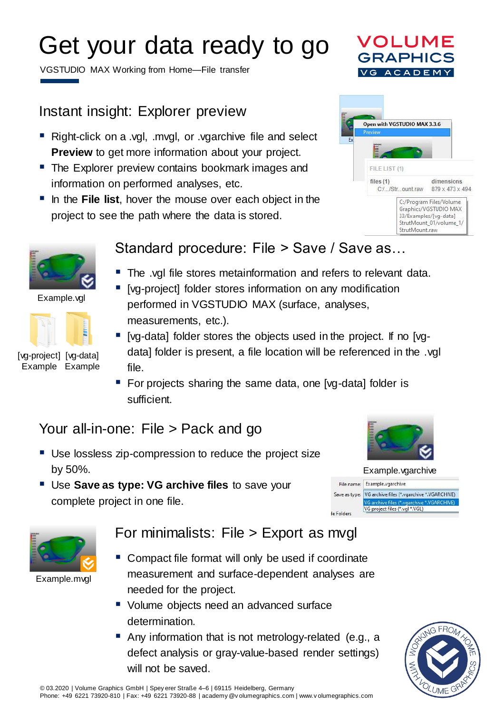# Get your data ready to go

VGSTUDIO MAX Working from Home—File transfer

### Instant insight: Explorer preview

- Right-click on a .vgl, .mvgl, or .vgarchive file and select **Preview** to get more information about your project.
- The Explorer preview contains bookmark images and information on performed analyses, etc.
- **. In the File list, hover the mouse over each object in the** project to see the path where the data is stored.



VOLUME RAPHI



Example.vgl



[vg-project] [vg-data] Example Example

#### Standard procedure: File > Save / Save as…

- The .vgl file stores metainformation and refers to relevant data.
- [vg-project] folder stores information on any modification performed in VGSTUDIO MAX (surface, analyses, measurements, etc.).
- [vg-data] folder stores the objects used in the project. If no [vgdata] folder is present, a file location will be referenced in the .vgl file.
- For projects sharing the same data, one [vg-data] folder is sufficient.

### Your all-in-one: File > Pack and go

- Use lossless zip-compression to reduce the project size by 50%.
- **Use Save as type: VG archive files to save your** complete project in one file.







Example.mvgl

#### For minimalists: File > Export as mvgl

- Compact file format will only be used if coordinate measurement and surface-dependent analyses are needed for the project.
- Volume objects need an advanced surface determination.
- Any information that is not metrology-related (e.g., a defect analysis or gray-value-based render settings) will not be saved.